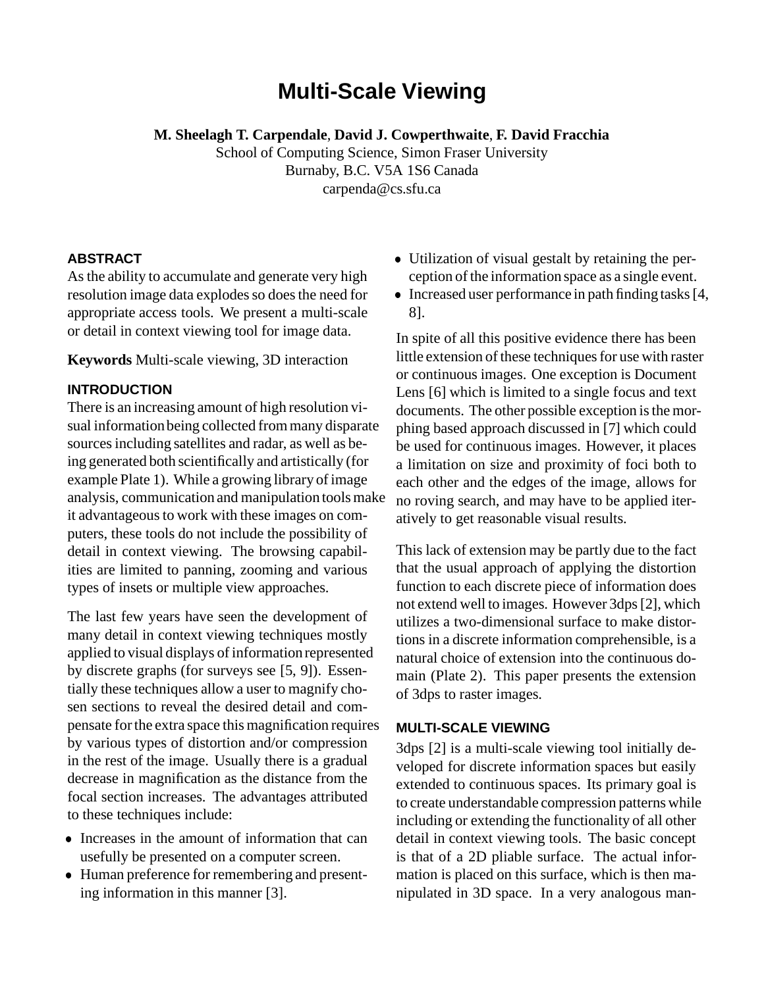# **Multi-Scale Viewing**

**M. Sheelagh T. Carpendale**, **David J. Cowperthwaite**, **F. David Fracchia**

School of Computing Science, Simon Fraser University Burnaby, B.C. V5A 1S6 Canada carpenda@cs.sfu.ca

## **ABSTRACT**

As the ability to accumulate and generate very high resolution image data explodes so does the need for appropriate access tools. We present a multi-scale or detail in context viewing tool for image data.

**Keywords** Multi-scale viewing, 3D interaction

## **INTRODUCTION**

There is an increasing amount of high resolution visual informationbeing collected frommany disparate sources including satellites and radar, as well as being generated both scientifically and artistically (for example Plate 1). While a growing library of image analysis, communication and manipulation tools make it advantageous to work with these images on computers, these tools do not include the possibility of detail in context viewing. The browsing capabilities are limited to panning, zooming and various types of insets or multiple view approaches.

The last few years have seen the development of many detail in context viewing techniques mostly applied to visual displays of information represented by discrete graphs (for surveys see [5, 9]). Essentially these techniques allow a user to magnify chosen sections to reveal the desired detail and compensate forthe extra space this magnification requires by various types of distortion and/or compression in the rest of the image. Usually there is a gradual decrease in magnification as the distance from the focal section increases. The advantages attributed to these techniques include:

- Increases in the amount of information that can usefully be presented on a computer screen.
- Human preference for remembering and presenting information in this manner [3].
- Utilization of visual gestalt by retaining the perception of the information space as a single event.
- Increased user performance in path finding tasks [4, 8].

In spite of all this positive evidence there has been little extension of these techniques for use with raster or continuous images. One exception is Document Lens [6] which is limited to a single focus and text documents. The other possible exception is the morphing based approach discussed in [7] which could be used for continuous images. However, it places a limitation on size and proximity of foci both to each other and the edges of the image, allows for no roving search, and may have to be applied iteratively to get reasonable visual results.

This lack of extension may be partly due to the fact that the usual approach of applying the distortion function to each discrete piece of information does not extend well to images. However 3dps[2], which utilizes a two-dimensional surface to make distortions in a discrete information comprehensible, is a natural choice of extension into the continuous domain (Plate 2). This paper presents the extension of 3dps to raster images.

## **MULTI-SCALE VIEWING**

3dps [2] is a multi-scale viewing tool initially developed for discrete information spaces but easily extended to continuous spaces. Its primary goal is to create understandable compression patterns while including or extending the functionality of all other detail in context viewing tools. The basic concept is that of a 2D pliable surface. The actual information is placed on this surface, which is then manipulated in 3D space. In a very analogous man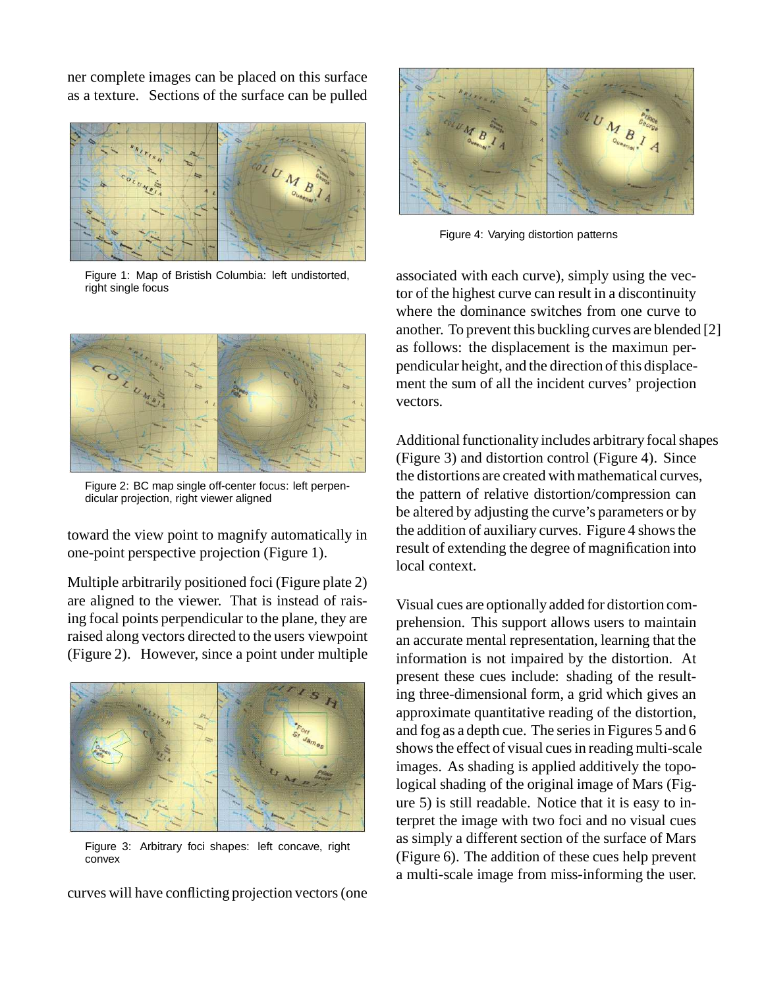ner complete images can be placed on this surface as a texture. Sections of the surface can be pulled



Figure 1: Map of Bristish Columbia: left undistorted, right single focus



Figure 2: BC map single off-center focus: left perpendicular projection, right viewer aligned

toward the view point to magnify automatically in one-point perspective projection (Figure 1).

Multiple arbitrarily positioned foci (Figure plate 2) are aligned to the viewer. That is instead of raising focal points perpendicular to the plane, they are raised along vectors directed to the users viewpoint (Figure 2). However, since a point under multiple



Figure 3: Arbitrary foci shapes: left concave, right convex

curves will have conflicting projection vectors(one



Figure 4: Varying distortion patterns

associated with each curve), simply using the vector of the highest curve can result in a discontinuity where the dominance switches from one curve to another. To prevent this buckling curves are blended [2] as follows: the displacement is the maximun perpendicular height, and the direction of this displacement the sum of all the incident curves' projection vectors.

Additional functionality includes arbitrary focal shapes (Figure 3) and distortion control (Figure 4). Since the distortions are created with mathematical curves, the pattern of relative distortion/compression can be altered by adjusting the curve's parameters or by the addition of auxiliary curves. Figure 4 showsthe result of extending the degree of magnification into local context.

Visual cues are optionally added for distortion comprehension. This support allows users to maintain an accurate mental representation, learning that the information is not impaired by the distortion. At present these cues include: shading of the resulting three-dimensional form, a grid which gives an approximate quantitative reading of the distortion, and fog as a depth cue. The series in Figures 5 and 6 shows the effect of visual cues in reading multi-scale images. As shading is applied additively the topological shading of the original image of Mars (Figure 5) is still readable. Notice that it is easy to interpret the image with two foci and no visual cues as simply a different section of the surface of Mars (Figure 6). The addition of these cues help prevent a multi-scale image from miss-informing the user.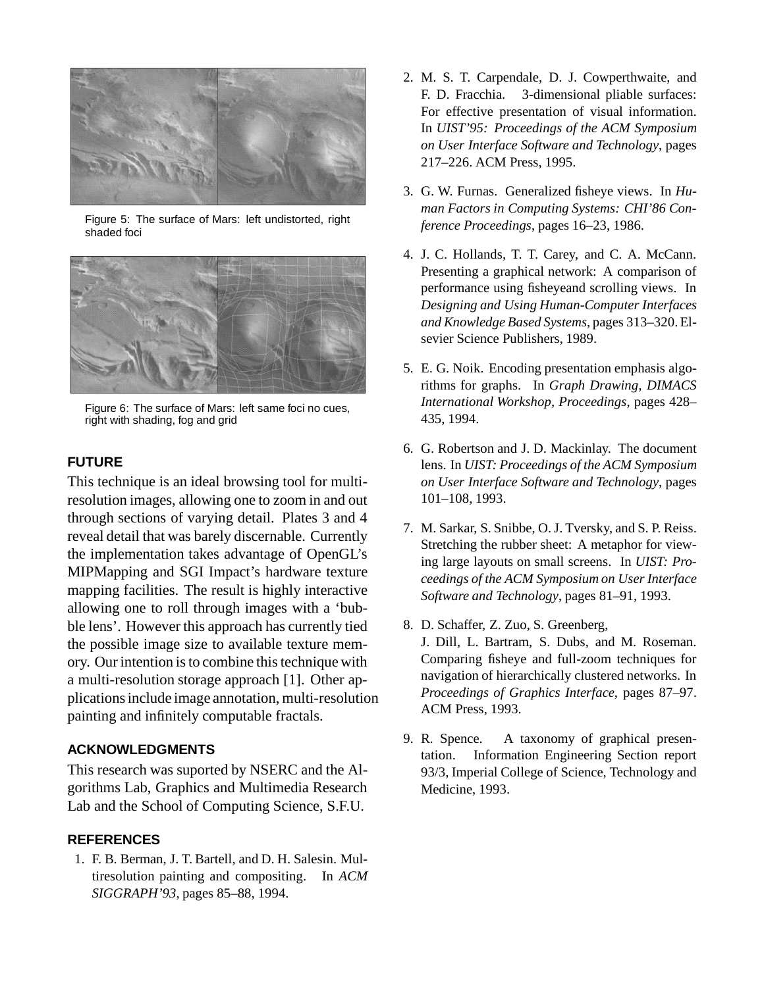

Figure 5: The surface of Mars: left undistorted, right shaded foci



Figure 6: The surface of Mars: left same foci no cues, right with shading, fog and grid

#### **FUTURE**

This technique is an ideal browsing tool for multiresolution images, allowing one to zoom in and out through sections of varying detail. Plates 3 and 4 reveal detail that was barely discernable. Currently the implementation takes advantage of OpenGL's MIPMapping and SGI Impact's hardware texture mapping facilities. The result is highly interactive allowing one to roll through images with a 'bubble lens'. However this approach has currently tied the possible image size to available texture memory. Our intention is to combine this technique with a multi-resolution storage approach [1]. Other applicationsinclude image annotation, multi-resolution painting and infinitely computable fractals.

#### **ACKNOWLEDGMENTS**

This research was suported by NSERC and the Algorithms Lab, Graphics and Multimedia Research Lab and the School of Computing Science, S.F.U.

#### **REFERENCES**

1. F. B. Berman, J. T. Bartell, and D. H. Salesin. Multiresolution painting and compositing. In *ACM SIGGRAPH'93*, pages 85–88, 1994.

- 2. M. S. T. Carpendale, D. J. Cowperthwaite, and F. D. Fracchia. 3-dimensional pliable surfaces: For effective presentation of visual information. In *UIST'95: Proceedings of the ACM Symposium on User Interface Software and Technology*, pages 217–226. ACM Press, 1995.
- 3. G. W. Furnas. Generalized fisheye views. In *Human Factors in Computing Systems: CHI'86 Conference Proceedings*, pages 16–23, 1986.
- 4. J. C. Hollands, T. T. Carey, and C. A. McCann. Presenting a graphical network: A comparison of performance using fisheyeand scrolling views. In *Designing and Using Human-Computer Interfaces and Knowledge Based Systems*, pages 313–320. Elsevier Science Publishers, 1989.
- 5. E. G. Noik. Encoding presentation emphasis algorithms for graphs. In *Graph Drawing, DIMACS International Workshop, Proceedings*, pages 428– 435, 1994.
- 6. G. Robertson and J. D. Mackinlay. The document lens. In *UIST: Proceedings of the ACM Symposium on User Interface Software and Technology*, pages 101–108, 1993.
- 7. M. Sarkar, S. Snibbe, O. J. Tversky, and S. P. Reiss. Stretching the rubber sheet: A metaphor for viewing large layouts on small screens. In *UIST: Proceedings of the ACM Symposium on User Interface Software and Technology*, pages 81–91, 1993.
- 8. D. Schaffer, Z. Zuo, S. Greenberg, J. Dill, L. Bartram, S. Dubs, and M. Roseman. Comparing fisheye and full-zoom techniques for navigation of hierarchically clustered networks. In *Proceedings of Graphics Interface*, pages 87–97. ACM Press, 1993.
- 9. R. Spence. A taxonomy of graphical presentation. Information Engineering Section report 93/3, Imperial College of Science, Technology and Medicine, 1993.